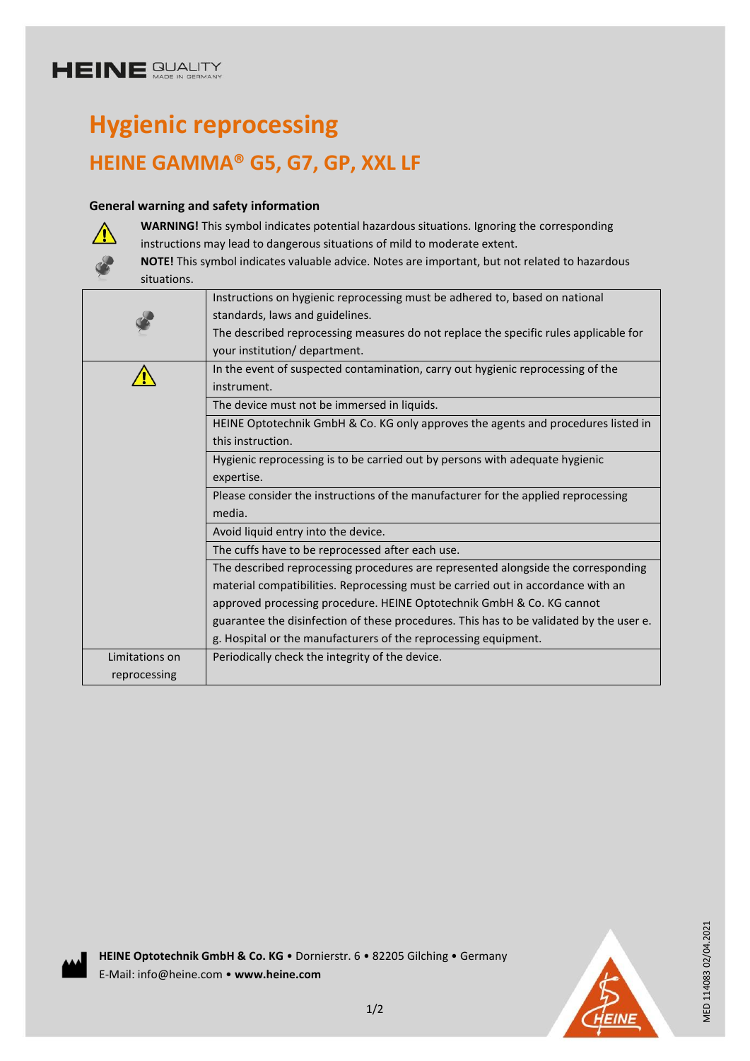# **Hygienic reprocessing HEINE GAMMA® G5, G7, GP, XXL LF**

### **General warning and safety information**



**WARNING!** This symbol indicates potential hazardous situations. Ignoring the corresponding instructions may lead to dangerous situations of mild to moderate extent.

**NOTE!** This symbol indicates valuable advice. Notes are important, but not related to hazardous situations.

|                | Instructions on hygienic reprocessing must be adhered to, based on national             |
|----------------|-----------------------------------------------------------------------------------------|
|                | standards, laws and guidelines.                                                         |
|                | The described reprocessing measures do not replace the specific rules applicable for    |
|                | your institution/ department.                                                           |
|                | In the event of suspected contamination, carry out hygienic reprocessing of the         |
|                | instrument.                                                                             |
|                | The device must not be immersed in liquids.                                             |
|                | HEINE Optotechnik GmbH & Co. KG only approves the agents and procedures listed in       |
|                | this instruction.                                                                       |
|                | Hygienic reprocessing is to be carried out by persons with adequate hygienic            |
|                | expertise.                                                                              |
|                | Please consider the instructions of the manufacturer for the applied reprocessing       |
|                | media.                                                                                  |
|                | Avoid liquid entry into the device.                                                     |
|                | The cuffs have to be reprocessed after each use.                                        |
|                | The described reprocessing procedures are represented alongside the corresponding       |
|                | material compatibilities. Reprocessing must be carried out in accordance with an        |
|                | approved processing procedure. HEINE Optotechnik GmbH & Co. KG cannot                   |
|                | guarantee the disinfection of these procedures. This has to be validated by the user e. |
|                | g. Hospital or the manufacturers of the reprocessing equipment.                         |
| Limitations on | Periodically check the integrity of the device.                                         |
| reprocessing   |                                                                                         |

**HEINE Optotechnik GmbH & Co. KG** • Dornierstr. 6 • 82205 Gilching • Germany E-Mail: info@heine.com • **www.heine.com**